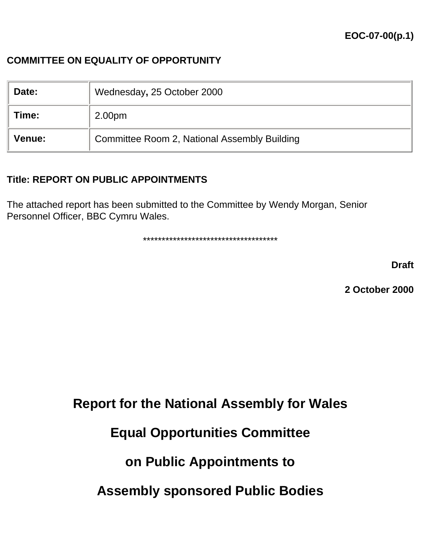## **COMMITTEE ON EQUALITY OF OPPORTUNITY**

| Date:         | Wednesday, 25 October 2000                   |
|---------------|----------------------------------------------|
| Time:         | 2.00 <sub>pm</sub>                           |
| <b>Venue:</b> | Committee Room 2, National Assembly Building |

#### **Title: REPORT ON PUBLIC APPOINTMENTS**

The attached report has been submitted to the Committee by Wendy Morgan, Senior Personnel Officer, BBC Cymru Wales.

\*\*\*\*\*\*\*\*\*\*\*\*\*\*\*\*\*\*\*\*\*\*\*\*\*\*\*\*\*\*\*\*\*\*\*\*

**Draft**

**2 October 2000**

**Report for the National Assembly for Wales**

# **Equal Opportunities Committee**

# **on Public Appointments to**

**Assembly sponsored Public Bodies**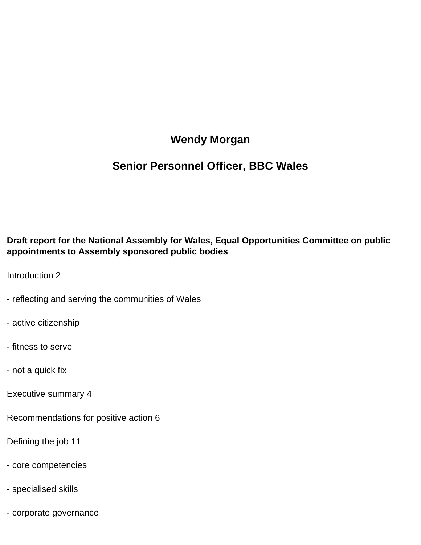# **Wendy Morgan**

# **Senior Personnel Officer, BBC Wales**

#### **Draft report for the National Assembly for Wales, Equal Opportunities Committee on public appointments to Assembly sponsored public bodies**

Introduction 2

- reflecting and serving the communities of Wales
- active citizenship
- fitness to serve
- not a quick fix
- Executive summary 4
- Recommendations for positive action 6
- Defining the job 11
- core competencies
- specialised skills
- corporate governance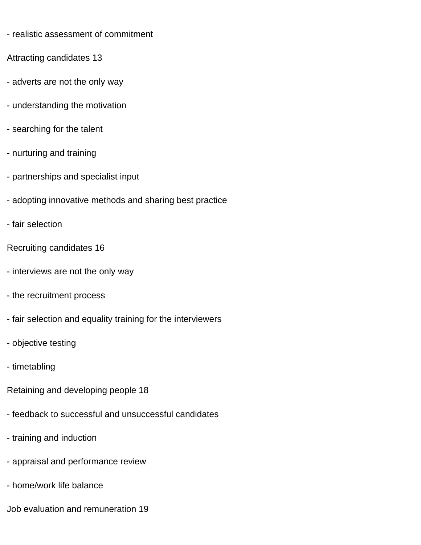- realistic assessment of commitment
- Attracting candidates 13
- adverts are not the only way
- understanding the motivation
- searching for the talent
- nurturing and training
- partnerships and specialist input
- adopting innovative methods and sharing best practice
- fair selection
- Recruiting candidates 16
- interviews are not the only way
- the recruitment process
- fair selection and equality training for the interviewers
- objective testing
- timetabling
- Retaining and developing people 18
- feedback to successful and unsuccessful candidates
- training and induction
- appraisal and performance review
- home/work life balance
- Job evaluation and remuneration 19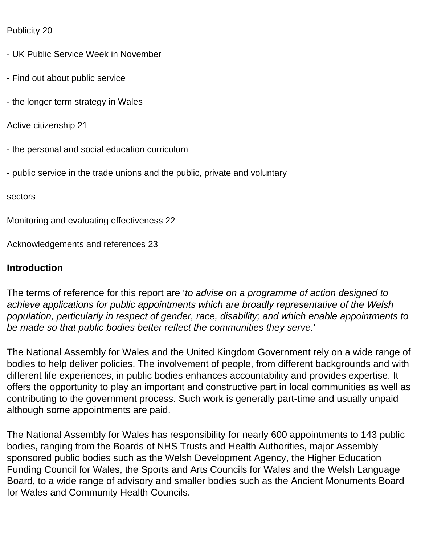#### Publicity 20

- UK Public Service Week in November
- Find out about public service
- the longer term strategy in Wales
- Active citizenship 21
- the personal and social education curriculum
- public service in the trade unions and the public, private and voluntary

sectors

Monitoring and evaluating effectiveness 22

Acknowledgements and references 23

#### **Introduction**

The terms of reference for this report are '*to advise on a programme of action designed to achieve applications for public appointments which are broadly representative of the Welsh population, particularly in respect of gender, race, disability; and which enable appointments to be made so that public bodies better reflect the communities they serve.*'

The National Assembly for Wales and the United Kingdom Government rely on a wide range of bodies to help deliver policies. The involvement of people, from different backgrounds and with different life experiences, in public bodies enhances accountability and provides expertise. It offers the opportunity to play an important and constructive part in local communities as well as contributing to the government process. Such work is generally part-time and usually unpaid although some appointments are paid.

The National Assembly for Wales has responsibility for nearly 600 appointments to 143 public bodies, ranging from the Boards of NHS Trusts and Health Authorities, major Assembly sponsored public bodies such as the Welsh Development Agency, the Higher Education Funding Council for Wales, the Sports and Arts Councils for Wales and the Welsh Language Board, to a wide range of advisory and smaller bodies such as the Ancient Monuments Board for Wales and Community Health Councils.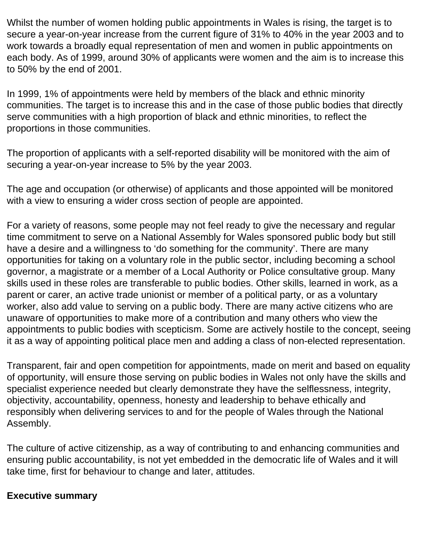Whilst the number of women holding public appointments in Wales is rising, the target is to secure a year-on-year increase from the current figure of 31% to 40% in the year 2003 and to work towards a broadly equal representation of men and women in public appointments on each body. As of 1999, around 30% of applicants were women and the aim is to increase this to 50% by the end of 2001.

In 1999, 1% of appointments were held by members of the black and ethnic minority communities. The target is to increase this and in the case of those public bodies that directly serve communities with a high proportion of black and ethnic minorities, to reflect the proportions in those communities.

The proportion of applicants with a self-reported disability will be monitored with the aim of securing a year-on-year increase to 5% by the year 2003.

The age and occupation (or otherwise) of applicants and those appointed will be monitored with a view to ensuring a wider cross section of people are appointed.

For a variety of reasons, some people may not feel ready to give the necessary and regular time commitment to serve on a National Assembly for Wales sponsored public body but still have a desire and a willingness to 'do something for the community'. There are many opportunities for taking on a voluntary role in the public sector, including becoming a school governor, a magistrate or a member of a Local Authority or Police consultative group. Many skills used in these roles are transferable to public bodies. Other skills, learned in work, as a parent or carer, an active trade unionist or member of a political party, or as a voluntary worker, also add value to serving on a public body. There are many active citizens who are unaware of opportunities to make more of a contribution and many others who view the appointments to public bodies with scepticism. Some are actively hostile to the concept, seeing it as a way of appointing political place men and adding a class of non-elected representation.

Transparent, fair and open competition for appointments, made on merit and based on equality of opportunity, will ensure those serving on public bodies in Wales not only have the skills and specialist experience needed but clearly demonstrate they have the selflessness, integrity, objectivity, accountability, openness, honesty and leadership to behave ethically and responsibly when delivering services to and for the people of Wales through the National Assembly.

The culture of active citizenship, as a way of contributing to and enhancing communities and ensuring public accountability, is not yet embedded in the democratic life of Wales and it will take time, first for behaviour to change and later, attitudes.

#### **Executive summary**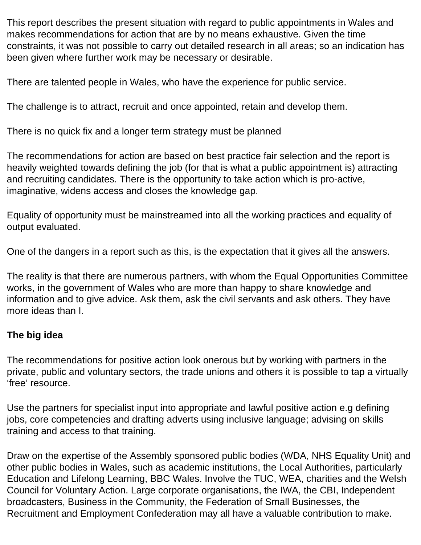This report describes the present situation with regard to public appointments in Wales and makes recommendations for action that are by no means exhaustive. Given the time constraints, it was not possible to carry out detailed research in all areas; so an indication has been given where further work may be necessary or desirable.

There are talented people in Wales, who have the experience for public service.

The challenge is to attract, recruit and once appointed, retain and develop them.

There is no quick fix and a longer term strategy must be planned

The recommendations for action are based on best practice fair selection and the report is heavily weighted towards defining the job (for that is what a public appointment is) attracting and recruiting candidates. There is the opportunity to take action which is pro-active, imaginative, widens access and closes the knowledge gap.

Equality of opportunity must be mainstreamed into all the working practices and equality of output evaluated.

One of the dangers in a report such as this, is the expectation that it gives all the answers.

The reality is that there are numerous partners, with whom the Equal Opportunities Committee works, in the government of Wales who are more than happy to share knowledge and information and to give advice. Ask them, ask the civil servants and ask others. They have more ideas than I.

# **The big idea**

The recommendations for positive action look onerous but by working with partners in the private, public and voluntary sectors, the trade unions and others it is possible to tap a virtually 'free' resource.

Use the partners for specialist input into appropriate and lawful positive action e.g defining jobs, core competencies and drafting adverts using inclusive language; advising on skills training and access to that training.

Draw on the expertise of the Assembly sponsored public bodies (WDA, NHS Equality Unit) and other public bodies in Wales, such as academic institutions, the Local Authorities, particularly Education and Lifelong Learning, BBC Wales. Involve the TUC, WEA, charities and the Welsh Council for Voluntary Action. Large corporate organisations, the IWA, the CBI, Independent broadcasters, Business in the Community, the Federation of Small Businesses, the Recruitment and Employment Confederation may all have a valuable contribution to make.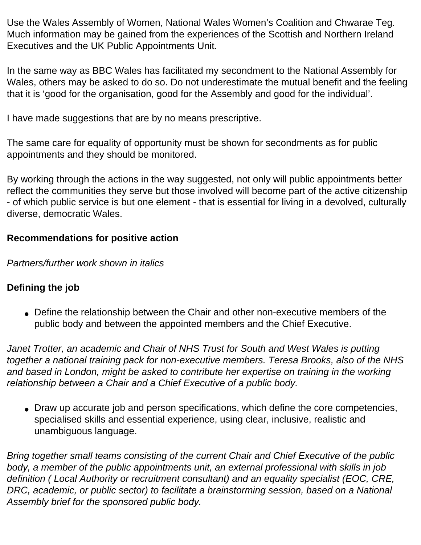Use the Wales Assembly of Women, National Wales Women's Coalition and Chwarae Teg*.* Much information may be gained from the experiences of the Scottish and Northern Ireland Executives and the UK Public Appointments Unit.

In the same way as BBC Wales has facilitated my secondment to the National Assembly for Wales, others may be asked to do so. Do not underestimate the mutual benefit and the feeling that it is 'good for the organisation, good for the Assembly and good for the individual'.

I have made suggestions that are by no means prescriptive.

The same care for equality of opportunity must be shown for secondments as for public appointments and they should be monitored.

By working through the actions in the way suggested, not only will public appointments better reflect the communities they serve but those involved will become part of the active citizenship - of which public service is but one element - that is essential for living in a devolved, culturally diverse, democratic Wales.

# **Recommendations for positive action**

*Partners/further work shown in italics*

# **Defining the job**

• Define the relationship between the Chair and other non-executive members of the public body and between the appointed members and the Chief Executive.

Janet Trotter, an academic and Chair of NHS Trust for South and West Wales is putting *together a national training pack for non-executive members. Teresa Brooks, also of the NHS*  and based in London, might be asked to contribute her expertise on training in the working *relationship between a Chair and a Chief Executive of a public body.*

• Draw up accurate job and person specifications, which define the core competencies, specialised skills and essential experience, using clear, inclusive, realistic and unambiguous language.

*Bring together small teams consisting of the current Chair and Chief Executive of the public body, a member of the public appointments unit, an external professional with skills in job definition ( Local Authority or recruitment consultant) and an equality specialist (EOC, CRE, DRC, academic, or public sector) to facilitate a brainstorming session, based on a National Assembly brief for the sponsored public body.*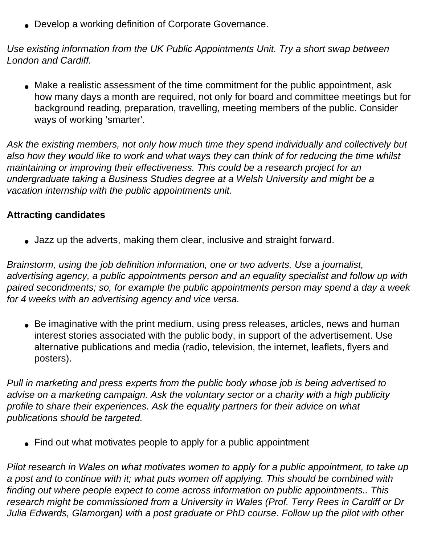• Develop a working definition of Corporate Governance.

*Use existing information from the UK Public Appointments Unit. Try a short swap between London and Cardiff.*

• Make a realistic assessment of the time commitment for the public appointment, ask how many days a month are required, not only for board and committee meetings but for background reading, preparation, travelling, meeting members of the public. Consider ways of working 'smarter'.

*Ask the existing members, not only how much time they spend individually and collectively but also how they would like to work and what ways they can think of for reducing the time whilst maintaining or improving their effectiveness. This could be a research project for an undergraduate taking a Business Studies degree at a Welsh University and might be a vacation internship with the public appointments unit.*

## **Attracting candidates**

• Jazz up the adverts, making them clear, inclusive and straight forward.

*Brainstorm, using the job definition information, one or two adverts. Use a journalist, advertising agency, a public appointments person and an equality specialist and follow up with paired secondments; so, for example the public appointments person may spend a day a week for 4 weeks with an advertising agency and vice versa.*

• Be imaginative with the print medium, using press releases, articles, news and human interest stories associated with the public body, in support of the advertisement. Use alternative publications and media (radio, television, the internet, leaflets, flyers and posters).

*Pull in marketing and press experts from the public body whose job is being advertised to advise on a marketing campaign. Ask the voluntary sector or a charity with a high publicity profile to share their experiences. Ask the equality partners for their advice on what publications should be targeted.* 

• Find out what motivates people to apply for a public appointment

*Pilot research in Wales on what motivates women to apply for a public appointment, to take up a post and to continue with it; what puts women off applying. This should be combined with finding out where people expect to come across information on public appointments.. This research might be commissioned from a University in Wales (Prof. Terry Rees in Cardiff or Dr Julia Edwards, Glamorgan) with a post graduate or PhD course. Follow up the pilot with other*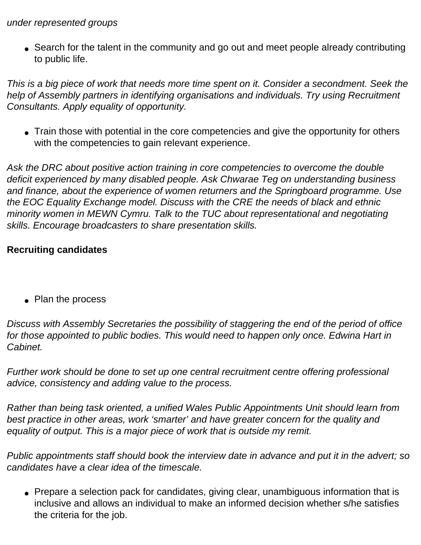#### *under represented groups*

• Search for the talent in the community and go out and meet people already contributing to public life.

*This is a big piece of work that needs more time spent on it. Consider a secondment. Seek the help of Assembly partners in identifying organisations and individuals. Try using Recruitment Consultants. Apply equality of opportunity.*

• Train those with potential in the core competencies and give the opportunity for others with the competencies to gain relevant experience.

*Ask the DRC about positive action training in core competencies to overcome the double deficit experienced by many disabled people. Ask Chwarae Teg on understanding business and finance, about the experience of women returners and the Springboard programme. Use the EOC Equality Exchange model. Discuss with the CRE the needs of black and ethnic minority women in MEWN Cymru. Talk to the TUC about representational and negotiating skills. Encourage broadcasters to share presentation skills.*

## **Recruiting candidates**

• Plan the process

*Discuss with Assembly Secretaries the possibility of staggering the end of the period of office*  for those appointed to public bodies. This would need to happen only once. Edwina Hart in *Cabinet.*

*Further work should be done to set up one central recruitment centre offering professional advice, consistency and adding value to the process.*

*Rather than being task oriented, a unified Wales Public Appointments Unit should learn from best practice in other areas, work 'smarter' and have greater concern for the quality and equality of output. This is a major piece of work that is outside my remit.*

*Public appointments staff should book the interview date in advance and put it in the advert; so candidates have a clear idea of the timescale.*

• Prepare a selection pack for candidates, giving clear, unambiguous information that is inclusive and allows an individual to make an informed decision whether s/he satisfies the criteria for the job.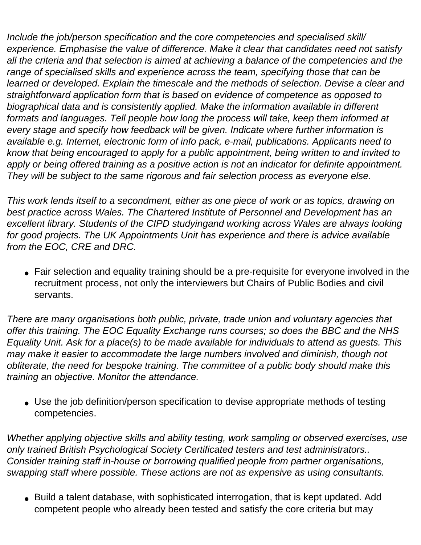*Include the job/person specification and the core competencies and specialised skill/ experience. Emphasise the value of difference. Make it clear that candidates need not satisfy all the criteria and that selection is aimed at achieving a balance of the competencies and the range of specialised skills and experience across the team, specifying those that can be learned or developed. Explain the timescale and the methods of selection. Devise a clear and straightforward application form that is based on evidence of competence as opposed to biographical data and is consistently applied. Make the information available in different formats and languages. Tell people how long the process will take, keep them informed at every stage and specify how feedback will be given. Indicate where further information is available e.g. Internet, electronic form of info pack, e-mail, publications. Applicants need to know that being encouraged to apply for a public appointment, being written to and invited to apply or being offered training as a positive action is not an indicator for definite appointment. They will be subject to the same rigorous and fair selection process as everyone else.*

*This work lends itself to a secondment, either as one piece of work or as topics, drawing on best practice across Wales. The Chartered Institute of Personnel and Development has an excellent library. Students of the CIPD studyingand working across Wales are always looking for good projects. The UK Appointments Unit has experience and there is advice available from the EOC, CRE and DRC.*

• Fair selection and equality training should be a pre-requisite for everyone involved in the recruitment process, not only the interviewers but Chairs of Public Bodies and civil servants.

*There are many organisations both public, private, trade union and voluntary agencies that offer this training. The EOC Equality Exchange runs courses; so does the BBC and the NHS Equality Unit. Ask for a place(s) to be made available for individuals to attend as guests. This may make it easier to accommodate the large numbers involved and diminish, though not obliterate, the need for bespoke training. The committee of a public body should make this training an objective. Monitor the attendance.* 

• Use the job definition/person specification to devise appropriate methods of testing competencies.

*Whether applying objective skills and ability testing, work sampling or observed exercises, use only trained British Psychological Society Certificated testers and test administrators.. Consider training staff in-house or borrowing qualified people from partner organisations, swapping staff where possible. These actions are not as expensive as using consultants.*

• Build a talent database, with sophisticated interrogation, that is kept updated. Add competent people who already been tested and satisfy the core criteria but may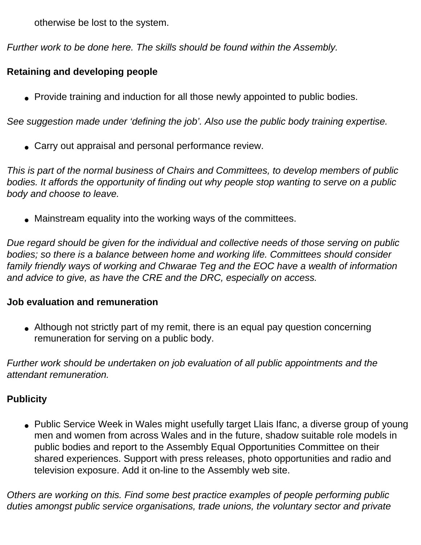otherwise be lost to the system.

*Further work to be done here. The skills should be found within the Assembly.*

## **Retaining and developing people**

• Provide training and induction for all those newly appointed to public bodies.

*See suggestion made under 'defining the job'. Also use the public body training expertise.*

• Carry out appraisal and personal performance review.

*This is part of the normal business of Chairs and Committees, to develop members of public bodies. It affords the opportunity of finding out why people stop wanting to serve on a public body and choose to leave.* 

• Mainstream equality into the working ways of the committees.

*Due regard should be given for the individual and collective needs of those serving on public bodies; so there is a balance between home and working life. Committees should consider family friendly ways of working and Chwarae Teg and the EOC have a wealth of information and advice to give, as have the CRE and the DRC, especially on access.*

#### **Job evaluation and remuneration**

• Although not strictly part of my remit, there is an equal pay question concerning remuneration for serving on a public body.

*Further work should be undertaken on job evaluation of all public appointments and the attendant remuneration.*

## **Publicity**

• Public Service Week in Wales might usefully target Llais Ifanc, a diverse group of young men and women from across Wales and in the future, shadow suitable role models in public bodies and report to the Assembly Equal Opportunities Committee on their shared experiences. Support with press releases, photo opportunities and radio and television exposure. Add it on-line to the Assembly web site.

*Others are working on this. Find some best practice examples of people performing public duties amongst public service organisations, trade unions, the voluntary sector and private*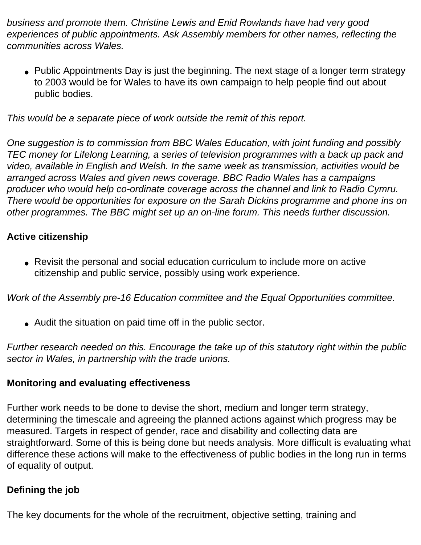*business and promote them. Christine Lewis and Enid Rowlands have had very good experiences of public appointments. Ask Assembly members for other names, reflecting the communities across Wales.*

• Public Appointments Day is just the beginning. The next stage of a longer term strategy to 2003 would be for Wales to have its own campaign to help people find out about public bodies.

*This would be a separate piece of work outside the remit of this report.*

*One suggestion is to commission from BBC Wales Education, with joint funding and possibly TEC money for Lifelong Learning, a series of television programmes with a back up pack and video, available in English and Welsh. In the same week as transmission, activities would be arranged across Wales and given news coverage. BBC Radio Wales has a campaigns producer who would help co-ordinate coverage across the channel and link to Radio Cymru. There would be opportunities for exposure on the Sarah Dickins programme and phone ins on other programmes. The BBC might set up an on-line forum. This needs further discussion.*

# **Active citizenship**

• Revisit the personal and social education curriculum to include more on active citizenship and public service, possibly using work experience.

*Work of the Assembly pre-16 Education committee and the Equal Opportunities committee.*

• Audit the situation on paid time off in the public sector.

*Further research needed on this. Encourage the take up of this statutory right within the public sector in Wales, in partnership with the trade unions.*

# **Monitoring and evaluating effectiveness**

Further work needs to be done to devise the short, medium and longer term strategy, determining the timescale and agreeing the planned actions against which progress may be measured. Targets in respect of gender, race and disability and collecting data are straightforward. Some of this is being done but needs analysis. More difficult is evaluating what difference these actions will make to the effectiveness of public bodies in the long run in terms of equality of output.

# **Defining the job**

The key documents for the whole of the recruitment, objective setting, training and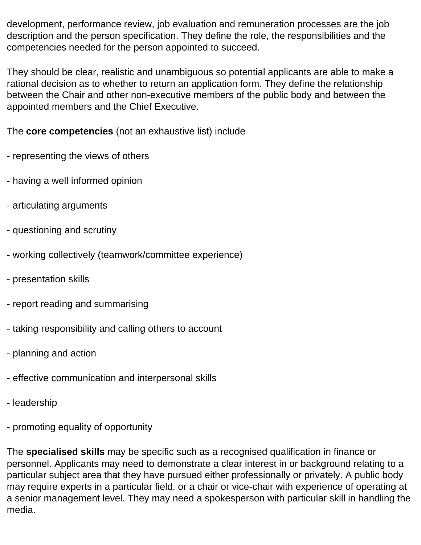development, performance review, job evaluation and remuneration processes are the job description and the person specification. They define the role, the responsibilities and the competencies needed for the person appointed to succeed.

They should be clear, realistic and unambiguous so potential applicants are able to make a rational decision as to whether to return an application form. They define the relationship between the Chair and other non-executive members of the public body and between the appointed members and the Chief Executive.

The **core competencies** (not an exhaustive list) include

- representing the views of others
- having a well informed opinion
- articulating arguments
- questioning and scrutiny
- working collectively (teamwork/committee experience)
- presentation skills
- report reading and summarising
- taking responsibility and calling others to account
- planning and action
- effective communication and interpersonal skills
- leadership
- promoting equality of opportunity

The **specialised skills** may be specific such as a recognised qualification in finance or personnel. Applicants may need to demonstrate a clear interest in or background relating to a particular subject area that they have pursued either professionally or privately. A public body may require experts in a particular field, or a chair or vice-chair with experience of operating at a senior management level. They may need a spokesperson with particular skill in handling the media.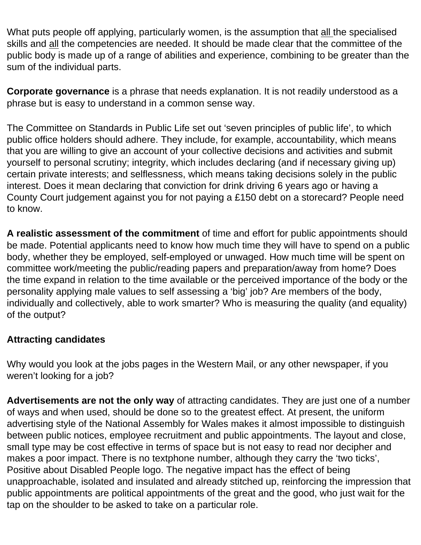What puts people off applying, particularly women, is the assumption that all the specialised skills and all the competencies are needed. It should be made clear that the committee of the public body is made up of a range of abilities and experience, combining to be greater than the sum of the individual parts.

**Corporate governance** is a phrase that needs explanation. It is not readily understood as a phrase but is easy to understand in a common sense way.

The Committee on Standards in Public Life set out 'seven principles of public life', to which public office holders should adhere. They include, for example, accountability, which means that you are willing to give an account of your collective decisions and activities and submit yourself to personal scrutiny; integrity, which includes declaring (and if necessary giving up) certain private interests; and selflessness, which means taking decisions solely in the public interest. Does it mean declaring that conviction for drink driving 6 years ago or having a County Court judgement against you for not paying a £150 debt on a storecard? People need to know.

**A realistic assessment of the commitment** of time and effort for public appointments should be made. Potential applicants need to know how much time they will have to spend on a public body, whether they be employed, self-employed or unwaged. How much time will be spent on committee work/meeting the public/reading papers and preparation/away from home? Does the time expand in relation to the time available or the perceived importance of the body or the personality applying male values to self assessing a 'big' job? Are members of the body, individually and collectively, able to work smarter? Who is measuring the quality (and equality) of the output?

## **Attracting candidates**

Why would you look at the jobs pages in the Western Mail, or any other newspaper, if you weren't looking for a job?

**Advertisements are not the only way** of attracting candidates. They are just one of a number of ways and when used, should be done so to the greatest effect. At present, the uniform advertising style of the National Assembly for Wales makes it almost impossible to distinguish between public notices, employee recruitment and public appointments. The layout and close, small type may be cost effective in terms of space but is not easy to read nor decipher and makes a poor impact. There is no textphone number, although they carry the 'two ticks', Positive about Disabled People logo. The negative impact has the effect of being unapproachable, isolated and insulated and already stitched up, reinforcing the impression that public appointments are political appointments of the great and the good, who just wait for the tap on the shoulder to be asked to take on a particular role.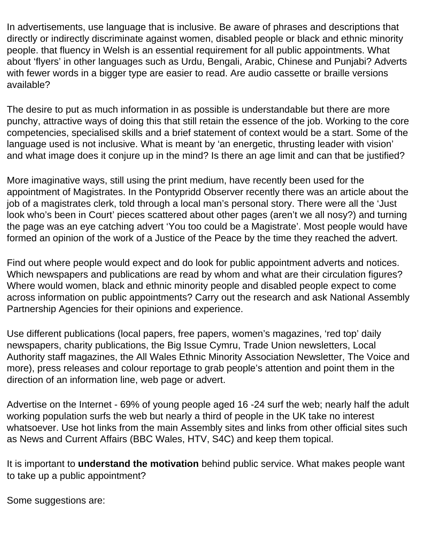In advertisements, use language that is inclusive. Be aware of phrases and descriptions that directly or indirectly discriminate against women, disabled people or black and ethnic minority people. that fluency in Welsh is an essential requirement for all public appointments. What about 'flyers' in other languages such as Urdu, Bengali, Arabic, Chinese and Punjabi? Adverts with fewer words in a bigger type are easier to read. Are audio cassette or braille versions available?

The desire to put as much information in as possible is understandable but there are more punchy, attractive ways of doing this that still retain the essence of the job. Working to the core competencies, specialised skills and a brief statement of context would be a start. Some of the language used is not inclusive. What is meant by 'an energetic, thrusting leader with vision' and what image does it conjure up in the mind? Is there an age limit and can that be justified?

More imaginative ways, still using the print medium, have recently been used for the appointment of Magistrates. In the Pontypridd Observer recently there was an article about the job of a magistrates clerk, told through a local man's personal story. There were all the 'Just look who's been in Court' pieces scattered about other pages (aren't we all nosy?) and turning the page was an eye catching advert 'You too could be a Magistrate'. Most people would have formed an opinion of the work of a Justice of the Peace by the time they reached the advert.

Find out where people would expect and do look for public appointment adverts and notices. Which newspapers and publications are read by whom and what are their circulation figures? Where would women, black and ethnic minority people and disabled people expect to come across information on public appointments? Carry out the research and ask National Assembly Partnership Agencies for their opinions and experience.

Use different publications (local papers, free papers, women's magazines, 'red top' daily newspapers, charity publications, the Big Issue Cymru, Trade Union newsletters, Local Authority staff magazines, the All Wales Ethnic Minority Association Newsletter, The Voice and more), press releases and colour reportage to grab people's attention and point them in the direction of an information line, web page or advert.

Advertise on the Internet - 69% of young people aged 16 -24 surf the web; nearly half the adult working population surfs the web but nearly a third of people in the UK take no interest whatsoever. Use hot links from the main Assembly sites and links from other official sites such as News and Current Affairs (BBC Wales, HTV, S4C) and keep them topical.

It is important to **understand the motivation** behind public service. What makes people want to take up a public appointment?

Some suggestions are: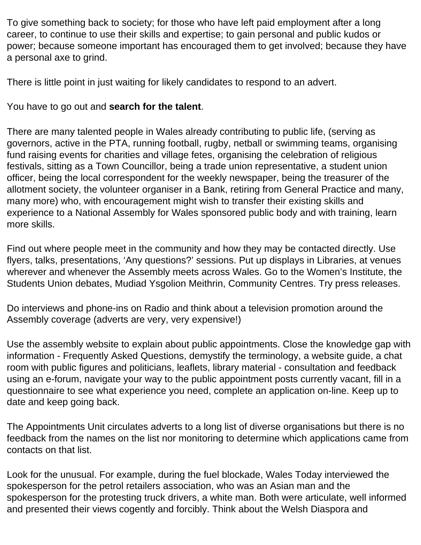To give something back to society; for those who have left paid employment after a long career, to continue to use their skills and expertise; to gain personal and public kudos or power; because someone important has encouraged them to get involved; because they have a personal axe to grind.

There is little point in just waiting for likely candidates to respond to an advert.

You have to go out and **search for the talent**.

There are many talented people in Wales already contributing to public life, (serving as governors, active in the PTA, running football, rugby, netball or swimming teams, organising fund raising events for charities and village fetes, organising the celebration of religious festivals, sitting as a Town Councillor, being a trade union representative, a student union officer, being the local correspondent for the weekly newspaper, being the treasurer of the allotment society, the volunteer organiser in a Bank, retiring from General Practice and many, many more) who, with encouragement might wish to transfer their existing skills and experience to a National Assembly for Wales sponsored public body and with training, learn more skills.

Find out where people meet in the community and how they may be contacted directly. Use flyers, talks, presentations, 'Any questions?' sessions. Put up displays in Libraries, at venues wherever and whenever the Assembly meets across Wales. Go to the Women's Institute, the Students Union debates, Mudiad Ysgolion Meithrin, Community Centres. Try press releases.

Do interviews and phone-ins on Radio and think about a television promotion around the Assembly coverage (adverts are very, very expensive!)

Use the assembly website to explain about public appointments. Close the knowledge gap with information - Frequently Asked Questions, demystify the terminology, a website guide, a chat room with public figures and politicians, leaflets, library material - consultation and feedback using an e-forum, navigate your way to the public appointment posts currently vacant, fill in a questionnaire to see what experience you need, complete an application on-line. Keep up to date and keep going back.

The Appointments Unit circulates adverts to a long list of diverse organisations but there is no feedback from the names on the list nor monitoring to determine which applications came from contacts on that list.

Look for the unusual. For example, during the fuel blockade, Wales Today interviewed the spokesperson for the petrol retailers association, who was an Asian man and the spokesperson for the protesting truck drivers, a white man. Both were articulate, well informed and presented their views cogently and forcibly. Think about the Welsh Diaspora and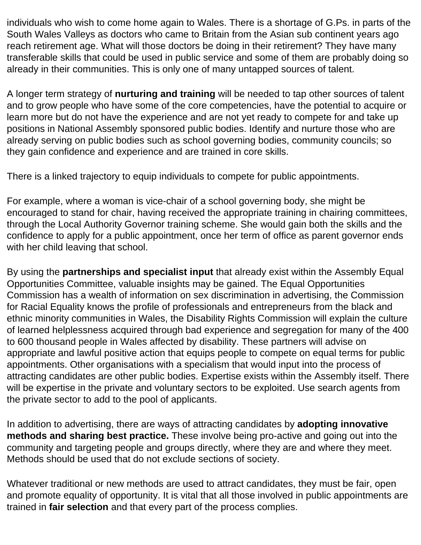individuals who wish to come home again to Wales. There is a shortage of G.Ps. in parts of the South Wales Valleys as doctors who came to Britain from the Asian sub continent years ago reach retirement age. What will those doctors be doing in their retirement? They have many transferable skills that could be used in public service and some of them are probably doing so already in their communities. This is only one of many untapped sources of talent.

A longer term strategy of **nurturing and training** will be needed to tap other sources of talent and to grow people who have some of the core competencies, have the potential to acquire or learn more but do not have the experience and are not yet ready to compete for and take up positions in National Assembly sponsored public bodies. Identify and nurture those who are already serving on public bodies such as school governing bodies, community councils; so they gain confidence and experience and are trained in core skills.

There is a linked trajectory to equip individuals to compete for public appointments.

For example, where a woman is vice-chair of a school governing body, she might be encouraged to stand for chair, having received the appropriate training in chairing committees, through the Local Authority Governor training scheme. She would gain both the skills and the confidence to apply for a public appointment, once her term of office as parent governor ends with her child leaving that school.

By using the **partnerships and specialist input** that already exist within the Assembly Equal Opportunities Committee, valuable insights may be gained. The Equal Opportunities Commission has a wealth of information on sex discrimination in advertising, the Commission for Racial Equality knows the profile of professionals and entrepreneurs from the black and ethnic minority communities in Wales, the Disability Rights Commission will explain the culture of learned helplessness acquired through bad experience and segregation for many of the 400 to 600 thousand people in Wales affected by disability. These partners will advise on appropriate and lawful positive action that equips people to compete on equal terms for public appointments. Other organisations with a specialism that would input into the process of attracting candidates are other public bodies. Expertise exists within the Assembly itself. There will be expertise in the private and voluntary sectors to be exploited. Use search agents from the private sector to add to the pool of applicants.

In addition to advertising, there are ways of attracting candidates by **adopting innovative methods and sharing best practice.** These involve being pro-active and going out into the community and targeting people and groups directly, where they are and where they meet. Methods should be used that do not exclude sections of society.

Whatever traditional or new methods are used to attract candidates, they must be fair, open and promote equality of opportunity. It is vital that all those involved in public appointments are trained in **fair selection** and that every part of the process complies.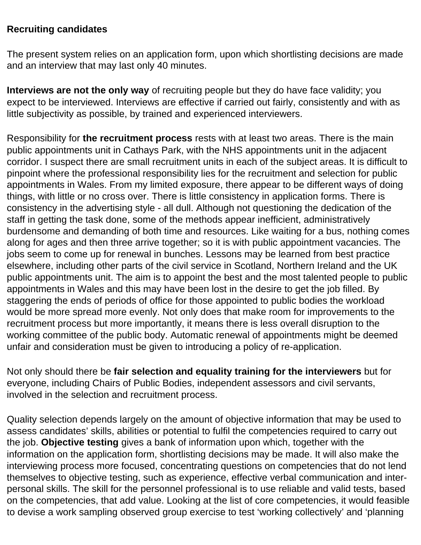#### **Recruiting candidates**

The present system relies on an application form, upon which shortlisting decisions are made and an interview that may last only 40 minutes.

**Interviews are not the only way** of recruiting people but they do have face validity; you expect to be interviewed. Interviews are effective if carried out fairly, consistently and with as little subjectivity as possible, by trained and experienced interviewers.

Responsibility for **the recruitment process** rests with at least two areas. There is the main public appointments unit in Cathays Park, with the NHS appointments unit in the adjacent corridor. I suspect there are small recruitment units in each of the subject areas. It is difficult to pinpoint where the professional responsibility lies for the recruitment and selection for public appointments in Wales. From my limited exposure, there appear to be different ways of doing things, with little or no cross over. There is little consistency in application forms. There is consistency in the advertising style - all dull. Although not questioning the dedication of the staff in getting the task done, some of the methods appear inefficient, administratively burdensome and demanding of both time and resources. Like waiting for a bus, nothing comes along for ages and then three arrive together; so it is with public appointment vacancies. The jobs seem to come up for renewal in bunches. Lessons may be learned from best practice elsewhere, including other parts of the civil service in Scotland, Northern Ireland and the UK public appointments unit. The aim is to appoint the best and the most talented people to public appointments in Wales and this may have been lost in the desire to get the job filled. By staggering the ends of periods of office for those appointed to public bodies the workload would be more spread more evenly. Not only does that make room for improvements to the recruitment process but more importantly, it means there is less overall disruption to the working committee of the public body. Automatic renewal of appointments might be deemed unfair and consideration must be given to introducing a policy of re-application.

Not only should there be **fair selection and equality training for the interviewers** but for everyone, including Chairs of Public Bodies, independent assessors and civil servants, involved in the selection and recruitment process.

Quality selection depends largely on the amount of objective information that may be used to assess candidates' skills, abilities or potential to fulfil the competencies required to carry out the job. **Objective testing** gives a bank of information upon which, together with the information on the application form, shortlisting decisions may be made. It will also make the interviewing process more focused, concentrating questions on competencies that do not lend themselves to objective testing, such as experience, effective verbal communication and interpersonal skills. The skill for the personnel professional is to use reliable and valid tests, based on the competencies, that add value. Looking at the list of core competencies, it would feasible to devise a work sampling observed group exercise to test 'working collectively' and 'planning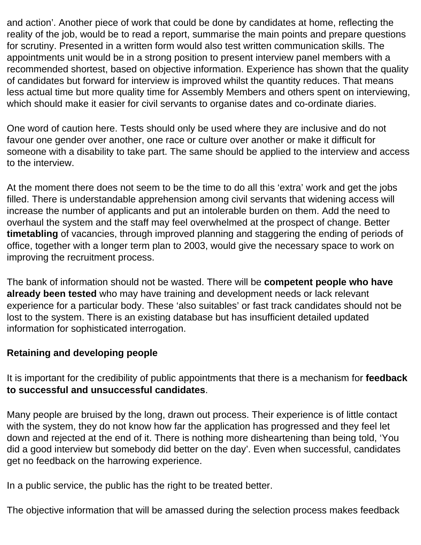and action'. Another piece of work that could be done by candidates at home, reflecting the reality of the job, would be to read a report, summarise the main points and prepare questions for scrutiny. Presented in a written form would also test written communication skills. The appointments unit would be in a strong position to present interview panel members with a recommended shortest, based on objective information. Experience has shown that the quality of candidates but forward for interview is improved whilst the quantity reduces. That means less actual time but more quality time for Assembly Members and others spent on interviewing, which should make it easier for civil servants to organise dates and co-ordinate diaries.

One word of caution here. Tests should only be used where they are inclusive and do not favour one gender over another, one race or culture over another or make it difficult for someone with a disability to take part. The same should be applied to the interview and access to the interview.

At the moment there does not seem to be the time to do all this 'extra' work and get the jobs filled. There is understandable apprehension among civil servants that widening access will increase the number of applicants and put an intolerable burden on them. Add the need to overhaul the system and the staff may feel overwhelmed at the prospect of change. Better **timetabling** of vacancies, through improved planning and staggering the ending of periods of office, together with a longer term plan to 2003, would give the necessary space to work on improving the recruitment process.

The bank of information should not be wasted. There will be **competent people who have already been tested** who may have training and development needs or lack relevant experience for a particular body. These 'also suitables' or fast track candidates should not be lost to the system. There is an existing database but has insufficient detailed updated information for sophisticated interrogation.

## **Retaining and developing people**

It is important for the credibility of public appointments that there is a mechanism for **feedback to successful and unsuccessful candidates**.

Many people are bruised by the long, drawn out process. Their experience is of little contact with the system, they do not know how far the application has progressed and they feel let down and rejected at the end of it. There is nothing more disheartening than being told, 'You did a good interview but somebody did better on the day'. Even when successful, candidates get no feedback on the harrowing experience.

In a public service, the public has the right to be treated better.

The objective information that will be amassed during the selection process makes feedback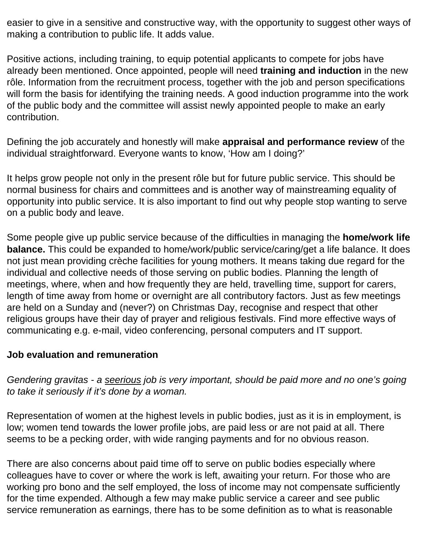easier to give in a sensitive and constructive way, with the opportunity to suggest other ways of making a contribution to public life. It adds value.

Positive actions, including training, to equip potential applicants to compete for jobs have already been mentioned. Once appointed, people will need **training and induction** in the new rôle. Information from the recruitment process, together with the job and person specifications will form the basis for identifying the training needs. A good induction programme into the work of the public body and the committee will assist newly appointed people to make an early contribution.

Defining the job accurately and honestly will make **appraisal and performance review** of the individual straightforward. Everyone wants to know, 'How am I doing?'

It helps grow people not only in the present rôle but for future public service. This should be normal business for chairs and committees and is another way of mainstreaming equality of opportunity into public service. It is also important to find out why people stop wanting to serve on a public body and leave.

Some people give up public service because of the difficulties in managing the **home/work life balance.** This could be expanded to home/work/public service/caring/get a life balance. It does not just mean providing crèche facilities for young mothers. It means taking due regard for the individual and collective needs of those serving on public bodies. Planning the length of meetings, where, when and how frequently they are held, travelling time, support for carers, length of time away from home or overnight are all contributory factors. Just as few meetings are held on a Sunday and (never?) on Christmas Day, recognise and respect that other religious groups have their day of prayer and religious festivals. Find more effective ways of communicating e.g. e-mail, video conferencing, personal computers and IT support.

#### **Job evaluation and remuneration**

*Gendering gravitas - a seerious job is very important, should be paid more and no one's going to take it seriously if it's done by a woman.*

Representation of women at the highest levels in public bodies, just as it is in employment, is low; women tend towards the lower profile jobs, are paid less or are not paid at all. There seems to be a pecking order, with wide ranging payments and for no obvious reason.

There are also concerns about paid time off to serve on public bodies especially where colleagues have to cover or where the work is left, awaiting your return. For those who are working pro bono and the self employed, the loss of income may not compensate sufficiently for the time expended. Although a few may make public service a career and see public service remuneration as earnings, there has to be some definition as to what is reasonable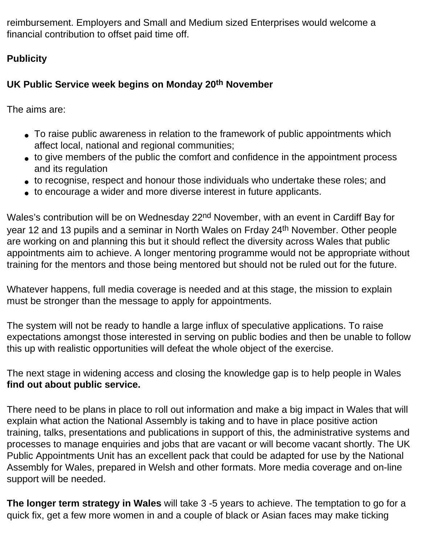reimbursement. Employers and Small and Medium sized Enterprises would welcome a financial contribution to offset paid time off.

# **Publicity**

# **UK Public Service week begins on Monday 20th November**

The aims are:

- To raise public awareness in relation to the framework of public appointments which affect local, national and regional communities;
- to give members of the public the comfort and confidence in the appointment process and its regulation
- to recognise, respect and honour those individuals who undertake these roles; and
- to encourage a wider and more diverse interest in future applicants.

Wales's contribution will be on Wednesday 22<sup>nd</sup> November, with an event in Cardiff Bay for year 12 and 13 pupils and a seminar in North Wales on Frday 24th November. Other people are working on and planning this but it should reflect the diversity across Wales that public appointments aim to achieve. A longer mentoring programme would not be appropriate without training for the mentors and those being mentored but should not be ruled out for the future.

Whatever happens, full media coverage is needed and at this stage, the mission to explain must be stronger than the message to apply for appointments.

The system will not be ready to handle a large influx of speculative applications. To raise expectations amongst those interested in serving on public bodies and then be unable to follow this up with realistic opportunities will defeat the whole object of the exercise.

The next stage in widening access and closing the knowledge gap is to help people in Wales **find out about public service.**

There need to be plans in place to roll out information and make a big impact in Wales that will explain what action the National Assembly is taking and to have in place positive action training, talks, presentations and publications in support of this, the administrative systems and processes to manage enquiries and jobs that are vacant or will become vacant shortly. The UK Public Appointments Unit has an excellent pack that could be adapted for use by the National Assembly for Wales, prepared in Welsh and other formats. More media coverage and on-line support will be needed.

**The longer term strategy in Wales** will take 3 -5 years to achieve. The temptation to go for a quick fix, get a few more women in and a couple of black or Asian faces may make ticking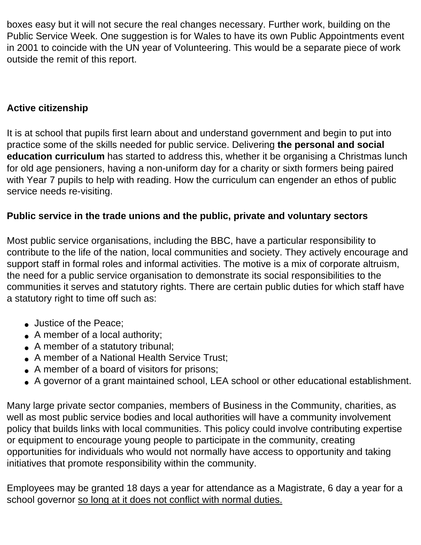boxes easy but it will not secure the real changes necessary. Further work, building on the Public Service Week. One suggestion is for Wales to have its own Public Appointments event in 2001 to coincide with the UN year of Volunteering. This would be a separate piece of work outside the remit of this report.

## **Active citizenship**

It is at school that pupils first learn about and understand government and begin to put into practice some of the skills needed for public service. Delivering **the personal and social education curriculum** has started to address this, whether it be organising a Christmas lunch for old age pensioners, having a non-uniform day for a charity or sixth formers being paired with Year 7 pupils to help with reading. How the curriculum can engender an ethos of public service needs re-visiting.

## **Public service in the trade unions and the public, private and voluntary sectors**

Most public service organisations, including the BBC, have a particular responsibility to contribute to the life of the nation, local communities and society. They actively encourage and support staff in formal roles and informal activities. The motive is a mix of corporate altruism, the need for a public service organisation to demonstrate its social responsibilities to the communities it serves and statutory rights. There are certain public duties for which staff have a statutory right to time off such as:

- Justice of the Peace;
- $\bullet$  A member of a local authority;
- A member of a statutory tribunal;
- A member of a National Health Service Trust;
- A member of a board of visitors for prisons;
- A governor of a grant maintained school, LEA school or other educational establishment.

Many large private sector companies, members of Business in the Community, charities, as well as most public service bodies and local authorities will have a community involvement policy that builds links with local communities. This policy could involve contributing expertise or equipment to encourage young people to participate in the community, creating opportunities for individuals who would not normally have access to opportunity and taking initiatives that promote responsibility within the community.

Employees may be granted 18 days a year for attendance as a Magistrate, 6 day a year for a school governor so long at it does not conflict with normal duties.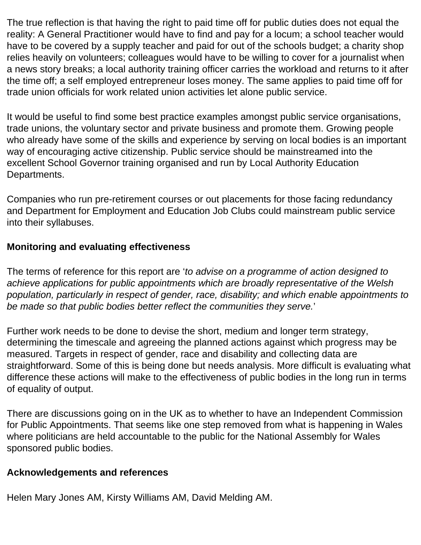The true reflection is that having the right to paid time off for public duties does not equal the reality: A General Practitioner would have to find and pay for a locum; a school teacher would have to be covered by a supply teacher and paid for out of the schools budget; a charity shop relies heavily on volunteers; colleagues would have to be willing to cover for a journalist when a news story breaks; a local authority training officer carries the workload and returns to it after the time off; a self employed entrepreneur loses money. The same applies to paid time off for trade union officials for work related union activities let alone public service.

It would be useful to find some best practice examples amongst public service organisations, trade unions, the voluntary sector and private business and promote them. Growing people who already have some of the skills and experience by serving on local bodies is an important way of encouraging active citizenship. Public service should be mainstreamed into the excellent School Governor training organised and run by Local Authority Education Departments.

Companies who run pre-retirement courses or out placements for those facing redundancy and Department for Employment and Education Job Clubs could mainstream public service into their syllabuses.

# **Monitoring and evaluating effectiveness**

The terms of reference for this report are '*to advise on a programme of action designed to achieve applications for public appointments which are broadly representative of the Welsh population, particularly in respect of gender, race, disability; and which enable appointments to be made so that public bodies better reflect the communities they serve.*'

Further work needs to be done to devise the short, medium and longer term strategy, determining the timescale and agreeing the planned actions against which progress may be measured. Targets in respect of gender, race and disability and collecting data are straightforward. Some of this is being done but needs analysis. More difficult is evaluating what difference these actions will make to the effectiveness of public bodies in the long run in terms of equality of output.

There are discussions going on in the UK as to whether to have an Independent Commission for Public Appointments. That seems like one step removed from what is happening in Wales where politicians are held accountable to the public for the National Assembly for Wales sponsored public bodies.

## **Acknowledgements and references**

Helen Mary Jones AM, Kirsty Williams AM, David Melding AM.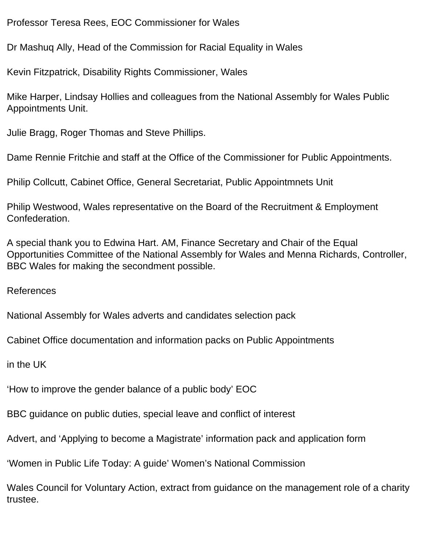Professor Teresa Rees, EOC Commissioner for Wales

Dr Mashuq Ally, Head of the Commission for Racial Equality in Wales

Kevin Fitzpatrick, Disability Rights Commissioner, Wales

Mike Harper, Lindsay Hollies and colleagues from the National Assembly for Wales Public Appointments Unit.

Julie Bragg, Roger Thomas and Steve Phillips.

Dame Rennie Fritchie and staff at the Office of the Commissioner for Public Appointments.

Philip Collcutt, Cabinet Office, General Secretariat, Public Appointmnets Unit

Philip Westwood, Wales representative on the Board of the Recruitment & Employment Confederation.

A special thank you to Edwina Hart. AM, Finance Secretary and Chair of the Equal Opportunities Committee of the National Assembly for Wales and Menna Richards, Controller, BBC Wales for making the secondment possible.

References

National Assembly for Wales adverts and candidates selection pack

Cabinet Office documentation and information packs on Public Appointments

in the UK

'How to improve the gender balance of a public body' EOC

BBC guidance on public duties, special leave and conflict of interest

Advert, and 'Applying to become a Magistrate' information pack and application form

'Women in Public Life Today: A guide' Women's National Commission

Wales Council for Voluntary Action, extract from guidance on the management role of a charity trustee.